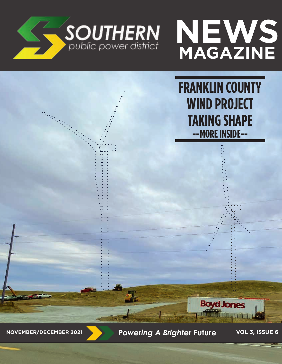



**FRANKLIN COUNTY WIND PROJECT TAKING SHAPE --MORE INSIDE--**

**NOVEMBER/DECEMBER 2021** *Powering A Brighter* **Future VOL 3, ISSUE 6**

**Boyd Jones**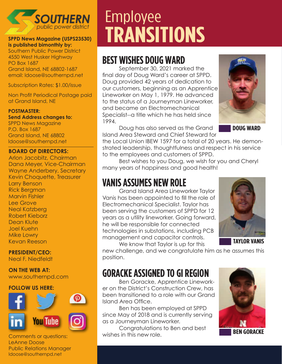

#### **SPPD News Magazine (USPS23530) is published bimonthly by:**

Southern Public Power District 4550 West Husker Highway PO Box 1687 Grand Island, NE 68802-1687 email: ldoose@southernpd.net

Subscription Rates: \$1.00/issue

Non Profit Periodical Postage paid at Grand Island, NE

#### **POSTMASTER:**

**Send Address changes to:** SPPD News Magazine P.O. Box 1687 Grand Island, NE 68802 ldoose@southernpd.net

#### **BOARD OF DIRECTORS:**

Arlon Jacobitz, Chairman Dana Meyer, Vice-Chairman Wayne Anderbery, Secretary Kevin Choquette, Treasurer Larry Benson Rick Bergman Marvin Fishler Lee Grove Neal Katzberg Robert Kieborz Dean Klute Joel Kuehn Mike Lowry Kevan Reeson

**PRESIDENT/CEO:**  Neal F. Niedfeldt

#### **ON THE WEB AT:**

www.southernpd.com

#### **FOLLOW US HERE:**



Comments or questions: LeAnne Doose Public Relations Manager ldoose@southernpd.net

# Employee **TRANSITIONS**

## **BEST WISHES DOUG WARD**

September 30, 2021 marked the final day of Doug Ward's career at SPPD. Doug provided 42 years of dedication to our customers, beginning as an Apprentice Lineworker on May 1, 1979. He advanced to the status of a Journeyman Lineworker, and became an Electromechanical Specialist--a title which he has held since 1994.



Doug has also served as the Grand Island Area Steward and Chief Steward for

the Local Union IBEW 1597 for a total of 20 years. He demonstrated leadership, thoughtfulness and respect in his service to the employees and customers of SPPD.

Best wishes to you Doug, we wish for you and Cheryl many years of happiness and good health!

## **VANIS ASSUMES NEW ROLE**

Grand Island Area Lineworker Taylor Vanis has been appointed to fill the role of Electromechanical Specialist. Taylor has been serving the customers of SPPD for 12 years as a utility lineworker. Going forward, he will be responsible for connected technologies in substations, including PCB management and capacitor controls. We know that Taylor is up for this



**TAYLOR VANIS**

new challenge, and we congratulate him as he assumes this position.

## **GORACKE ASSIGNED TO GI REGION**

Ben Goracke, Apprentice Lineworker on the District's Construction Crew, has been transitioned to a role with our Grand Island Area Office.

Ben has been employed at SPPD since May of 2018 and is currently serving as a Journeyman Lineworker.

Congratulations to Ben and best wishes in this new role.

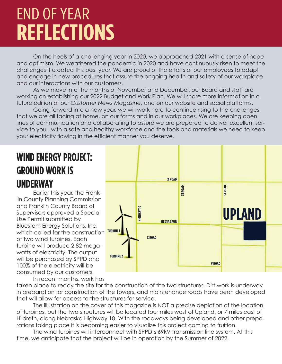# END OF YEAR **REFLECTIONS**

On the heels of a challenging year in 2020, we approached 2021 with a sense of hope and optimism. We weathered the pandemic in 2020 and have continuously risen to meet the challenges it created this past year. We are proud of the efforts of our employees to adapt and engage in new procedures that assure the ongoing health and safety of our workplace and our interactions with our customers.

As we move into the months of November and December, our Board and staff are working on establishing our 2022 Budget and Work Plan. We will share more information in a future edition of our *Customer News Magazine*, and on our website and social platforms.

Going forward into a new year, we will work hard to continue rising to the challenges that we are all facing at home, on our farms and in our workplaces. We are keeping open lines of communication and collaborating to assure we are prepared to deliver excellent service to you...with a safe and healthy workforce and the tools and materials we need to keep your electricity flowing in the efficient manner you deserve.

## **WIND ENERGY PROJECT: GROUND WORK IS UNDERWAY**

Earlier this year, the Franklin County Planning Commission and Franklin County Board of Supervisors approved a Special Use Permit submitted by Bluestem Energy Solutions, Inc, which called for the construction of two wind turbines. Each turbine will produce 2.82-megawatts of electricity. The output will be purchased by SPPD and 100% of the electricity will be consumed by our customers.



In recent months, work has

taken place to ready the site for the construction of the two structures. Dirt work is underway in preparation for construction of the towers, and maintenance roads have been developed that will allow for access to the structures for service.

The illustration on the cover of this magazine is NOT a precise depiction of the location of turbines, but the two structures will be located four miles west of Upland, or 7 miles east of Hildreth, along Nebraska Highway 10. With the roadways being developed and other preparations taking place it is becoming easier to visualize this project coming to fruition.

The wind turbines will interconnect with SPPD's 69kV transmission line system. At this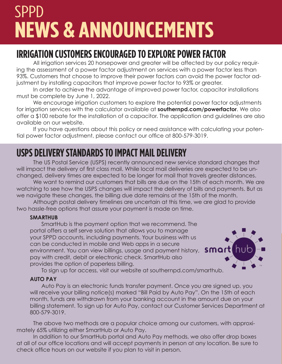# SPPD **NEWS & ANNOUNCEMENTS**

## **IRRIGATION CUSTOMERS ENCOURAGED TO EXPLORE POWER FACTOR**

All irrigation services 20 horsepower and greater will be affected by our policy requiring the assessment of a power factor adjustment on services with a power factor less than 93%. Customers that choose to improve their power factors can avoid the power factor adjustment by installing capacitors that improve power factor to 93% or greater.

In order to achieve the advantage of improved power factor, capacitor installations must be complete by June 1, 2022.

We encourage irrigation customers to explore the potential power factor adjustments for irrigation services with the calculator available at **southernpd.com/powerfactor**. We also offer a \$100 rebate for the installation of a capacitor. The application and guidelines are also available on our website.

If you have questions about this policy or need assistance with calculating your potential power factor adjustment, please contact our office at 800-579-3019.

## **USPS DELIVERY STANDARDS TO IMPACT MAIL DELIVERY**

The US Postal Service (USPS) recently announced new service standard changes that will impact the delivery of first class mail. While local mail deliveries are expected to be unchanged, delivery times are expected to be longer for mail that travels greater distances.

We want to remind our customers that bills are due on the 15th of each month. We are watching to see how the USPS changes will impact the delivery of bills and payments. But as we navigate these changes, the billing due date remains at the 15th of the month.

Although postal delivery timelines are uncertain at this time, we are glad to provide two hassle-free options that assure your payment is made on time.

#### **SMARTHUB**

SmartHub is the payment option that we recommend. The portal offers a self serve solution that allows you to manage your SPPD accounts, including payments. Your business with us can be conducted in mobile and Web apps in a secure environment. You can view billings, usage and payment history, **SMart** pay with credit, debit or electronic check. SmartHub also provides the option of paperless billing.



To sign up for access, visit our website at southernpd.com/smarthub.

#### **AUTO PAY**

Auto Pay is an electronic funds transfer payment. Once you are signed up, you will receive your billing notice(s) marked "Bill Paid by Auto Pay". On the 15th of each month, funds are withdrawn from your banking account in the amount due on your billing statement. To sign up for Auto Pay, contact our Customer Services Department at 800-579-3019.

The above two methods are a popular choice among our customers, with approximately 65% utilizing either SmartHub or Auto Pay.

In addition to our SmartHub portal and Auto Pay methods, we also offer drop boxes at all of our office locations and will accept payments in person at any location. Be sure to check office hours on our website if you plan to visit in person.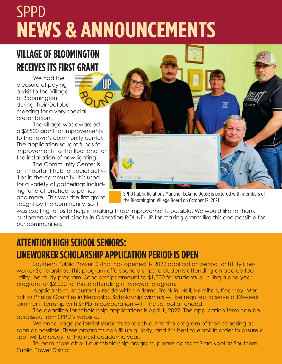# SPPD **NEWS & ANNOUNCEMENTS**

## **VILLAGE OF BLOOMINGTON RECEIVES ITS FIRST GRANT**

We had the pleasure of paying a visit to the Village of Bloomington during their October meeting for a very special presentation.

The village was awarded a \$2,500 grant for improvements to the town's community center. The application sought funds for improvements to the floor and for the installation of new lighting.

The Community Center is an important hub for social activities in the community. It is used for a variety of gatherings including funeral luncheons, parties and more. This was the first grant sought by the community, so it



SPPD Public Relations Manager LeAnne Doose is pictured with members of the Bloomington Village Board on October 12, 2021.

was exciting for us to help in making these improvements possible. We would like to thank customers who participate in Operation ROUND UP for making grants like this one possible for our communities.

## **ATTENTION HIGH SCHOOL SENIORS: LINEWORKER SCHOLARSHIP APPLICATION PERIOD IS OPEN**

Southern Public Power District has opened its 2022 application period for Utility Lineworker Scholarships. This program offers scholarships to students attending an accredited utility line study program. Scholarships amount to \$1,000 for students pursuing a one-year program, or \$2,000 for those attending a two-year program.

Applicants must currently reside within Adams, Franklin, Hall, Hamilton, Kearney, Merrick or Phelps Counties in Nebraska. Scholarship winners will be required to serve a 12-week summer internship with SPPD in cooperation with the school attended.

The deadline for scholarship applications is April 1, 2022. The application form can be accessed from SPPD's website.

We encourage potential students to reach out to the program of their choosing as soon as possible. These programs can fill up quickly, and it is best to enroll in order to assure a spot will be ready for the next academic year.

To learn more about our scholarship program, please contact Brad Kool at Southern Public Power District.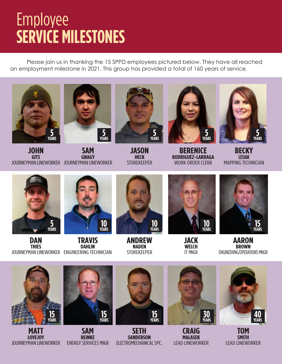## Employee **SERVICE MILESTONES**

Please join us in thanking the 15 SPPD employees pictured below. They have all reached an employment milestone in 2021. This group has provided a total of 160 years of service.





**JOHN GITS** JOURNEYMAN LINEWORKER JOURNEYMAN LINEWORKER **SAM GNAGY**



**JASON HECK STORFKFFPFR** 



**BERENICE RODRIGUEZ-LARRAGA** WORK ORDER CLERK



**BECKY LESIAK** MAPPING TECHNICIAN



**DAN THIES** JOURNEYMAN LINEWORKER ENGINEERING TECHNICIAN **TRAVIS DAHLIN 10 YEARS**



**ANDREW NADEN** STOREKEEPER



**JACK WELCH** IT MNGR



**AARON BROWN** ENGINEERING/OPERATIONS MNGR



**MATT LOVEJOY** JOURNEYMAN LINEWORKER



**SAM REINKE** ENERGY SERVICES MNGR



**SETH SANDERSON** ELECTROMECHANICAL SPC.



**CRAIG MALASEK** LEAD LINEWORKER



**TOM SMITH** LEAD LINEWORKER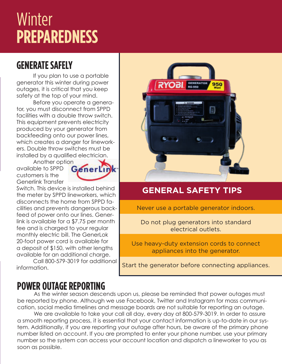## **Winter PREPAREDNESS**

## **GENERATE SAFELY**

If you plan to use a portable generator this winter during power outages, it is critical that you keep safety at the top of your mind.

Before you operate a generator, you must disconnect from SPPD facilities with a double throw switch. This equipment prevents electricity produced by your generator from backfeeding onto our power lines, which creates a danger for lineworkers. Double throw switches must be installed by a qualified electrician.

Another option available to SPPD customers is the Generlink Transfer



Switch. This device is installed behind the meter by SPPD lineworkers, which disconnects the home from SPPD facilities and prevents dangerous backfeed of power onto our lines. Generlink is available for a \$7.75 per month fee and is charged to your regular monthly electric bill. The GenerLok 20-foot power cord is available for a deposit of \$150, with other lengths available for an additional charge.

Call 800-579-3019 for additional information.



### **GENERAL SAFETY TIPS**

Never use a portable generator indoors.

Do not plug generators into standard electrical outlets.

Use heavy-duty extension cords to connect appliances into the generator.

Start the generator before connecting appliances.

## **POWER OUTAGE REPORTING**

As the winter season descends upon us, please be reminded that power outages must be reported by phone. Although we use Facebook, Twitter and Instagram for mass communication, social media timelines and message boards are not suitable for reporting an outage.

We are available to take your call all day, every day at 800-579-3019. In order to assure a smooth reporting process, it is essential that your contact information is up-to-date in our system. Additionally, if you are reporting your outage after hours, be aware of the primary phone number listed on account. If you are prompted to enter your phone number, use your primary number so the system can access your account location and dispatch a lineworker to you as soon as possible.